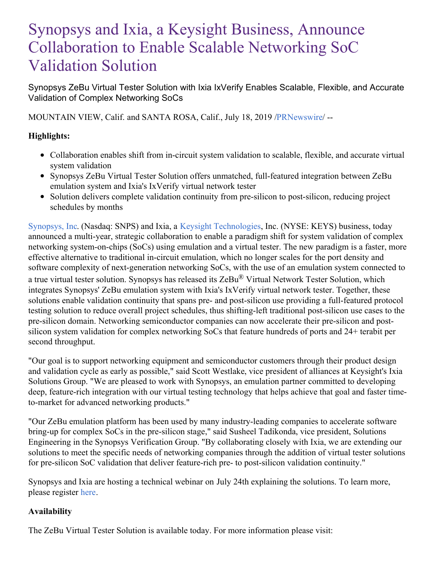# Synopsys and Ixia, a Keysight Business, Announce Collaboration to Enable Scalable Networking SoC Validation Solution

Synopsys ZeBu Virtual Tester Solution with Ixia IxVerify Enables Scalable, Flexible, and Accurate Validation of Complex Networking SoCs

MOUNTAIN VIEW, Calif. and SANTA ROSA, Calif., July 18, 2019 [/PRNewswire](http://www.prnewswire.com/)/ --

# **Highlights:**

- Collaboration enables shift from in-circuit system validation to scalable, flexible, and accurate virtual system validation
- Synopsys ZeBu Virtual Tester Solution offers unmatched, full-featured integration between ZeBu emulation system and Ixia's IxVerify virtual network tester
- Solution delivers complete validation continuity from pre-silicon to post-silicon, reducing project schedules by months

[Synopsys,](https://c212.net/c/link/?t=0&l=en&o=2528183-1&h=1351275480&u=http%3A%2F%2Fwww.synopsys.com%2F&a=Synopsys%2C+Inc) Inc. (Nasdaq: SNPS) and Ixia, a Keysight [Technologies](https://c212.net/c/link/?t=0&l=en&o=2528183-1&h=3609754211&u=https%3A%2F%2Fwww.keysight.com%2Fus%2Fen%2Fhome.html&a=Keysight+Technologies), Inc. (NYSE: KEYS) business, today announced a multi-year, strategic collaboration to enable a paradigm shift for system validation of complex networking system-on-chips (SoCs) using emulation and a virtual tester. The new paradigm is a faster, more effective alternative to traditional in-circuit emulation, which no longer scales for the port density and software complexity of next-generation networking SoCs, with the use of an emulation system connected to a true virtual tester solution. Synopsys has released its ZeBu® Virtual Network Tester Solution, which integrates Synopsys' ZeBu emulation system with Ixia's IxVerify virtual network tester. Together, these solutions enable validation continuity that spans pre- and post-silicon use providing a full-featured protocol testing solution to reduce overall project schedules, thus shifting-left traditional post-silicon use cases to the pre-silicon domain. Networking semiconductor companies can now accelerate their pre-silicon and postsilicon system validation for complex networking SoCs that feature hundreds of ports and 24+ terabit per second throughput.

"Our goal is to support networking equipment and semiconductor customers through their product design and validation cycle as early as possible," said Scott Westlake, vice president of alliances at Keysight's Ixia Solutions Group. "We are pleased to work with Synopsys, an emulation partner committed to developing deep, feature-rich integration with our virtual testing technology that helps achieve that goal and faster timeto-market for advanced networking products."

"Our ZeBu emulation platform has been used by many industry-leading companies to accelerate software bring-up for complex SoCs in the pre-silicon stage," said Susheel Tadikonda, vice president, Solutions Engineering in the Synopsys Verification Group. "By collaborating closely with Ixia, we are extending our solutions to meet the specific needs of networking companies through the addition of virtual tester solutions for pre-silicon SoC validation that deliver feature-rich pre- to post-silicon validation continuity."

Synopsys and Ixia are hosting a technical webinar on July 24th explaining the solutions. To learn more, please register [here](https://c212.net/c/link/?t=0&l=en&o=2528183-1&h=2102219880&u=https%3A%2F%2Freadytalk.webcasts.com%2Fstarthere.jsp%3Fei%3D1251386%26tp_key%3Daa8b31b8c6&a=here).

## **Availability**

The ZeBu Virtual Tester Solution is available today. For more information please visit: